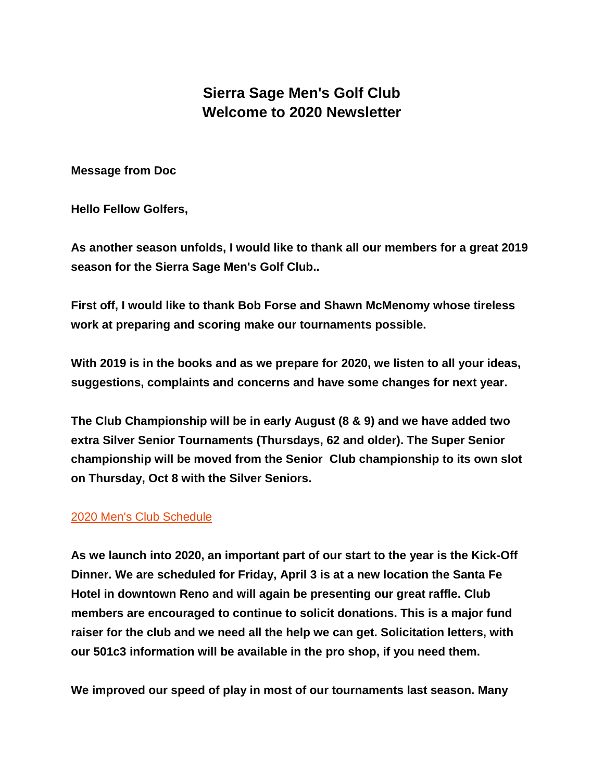# **Sierra Sage Men's Golf Club Welcome to 2020 Newsletter**

**Message from Doc**

**Hello Fellow Golfers,**

**As another season unfolds, I would like to thank all our members for a great 2019 season for the Sierra Sage Men's Golf Club..**

**First off, I would like to thank Bob Forse and Shawn McMenomy whose tireless work at preparing and scoring make our tournaments possible.**

**With 2019 is in the books and as we prepare for 2020, we listen to all your ideas, suggestions, complaints and concerns and have some changes for next year.**

**The Club Championship will be in early August (8 & 9) and we have added two extra Silver Senior Tournaments (Thursdays, 62 and older). The Super Senior championship will be moved from the Senior Club championship to its own slot on Thursday, Oct 8 with the Silver Seniors.**

## [2020 Men's Club Schedule](file://///ssgc-s-13400/userdata/ProShop/Documents/Sarah%20Boyle/2020%20SSMC%20SChedule%20%20Reg.%20and%20Senior%20FINAL1a.pdf)

**As we launch into 2020, an important part of our start to the year is the Kick-Off Dinner. We are scheduled for Friday, April 3 is at a new location the Santa Fe Hotel in downtown Reno and will again be presenting our great raffle. Club members are encouraged to continue to solicit donations. This is a major fund raiser for the club and we need all the help we can get. Solicitation letters, with our 501c3 information will be available in the pro shop, if you need them.**

**We improved our speed of play in most of our tournaments last season. Many**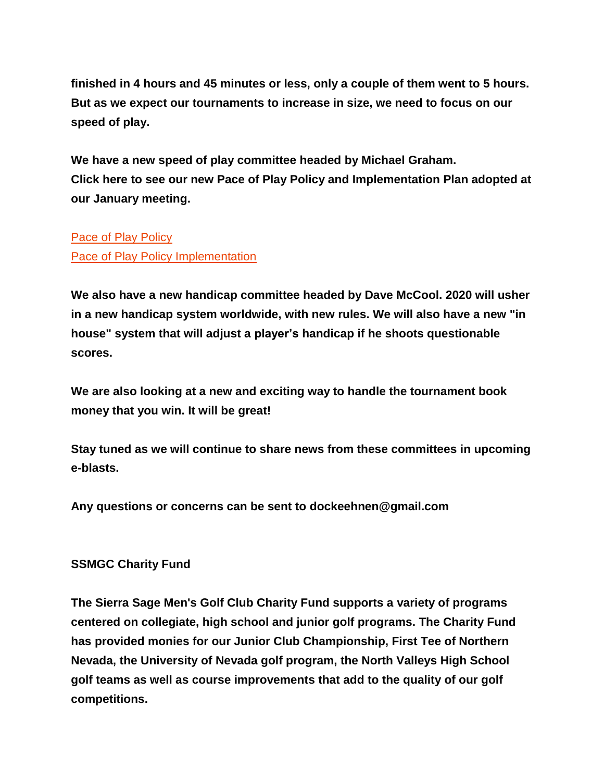**finished in 4 hours and 45 minutes or less, only a couple of them went to 5 hours. But as we expect our tournaments to increase in size, we need to focus on our speed of play.**

**We have a new speed of play committee headed by Michael Graham. Click here to see our new Pace of Play Policy and Implementation Plan adopted at our January meeting.**

#### [Pace of Play Policy](file://///ssgc-s-13400/userdata/ProShop/Documents/Sarah%20Boyle/Men)

[Pace of Play Policy Implementation](file://///ssgc-s-13400/userdata/ProShop/Documents/Sarah%20Boyle/Men)

**We also have a new handicap committee headed by Dave McCool. 2020 will usher in a new handicap system worldwide, with new rules. We will also have a new "in house" system that will adjust a player's handicap if he shoots questionable scores.**

**We are also looking at a new and exciting way to handle the tournament book money that you win. It will be great!**

**Stay tuned as we will continue to share news from these committees in upcoming e-blasts.**

**Any questions or concerns can be sent to dockeehnen@gmail.com**

## **SSMGC Charity Fund**

**The Sierra Sage Men's Golf Club Charity Fund supports a variety of programs centered on collegiate, high school and junior golf programs. The Charity Fund has provided monies for our Junior Club Championship, First Tee of Northern Nevada, the University of Nevada golf program, the North Valleys High School golf teams as well as course improvements that add to the quality of our golf competitions.**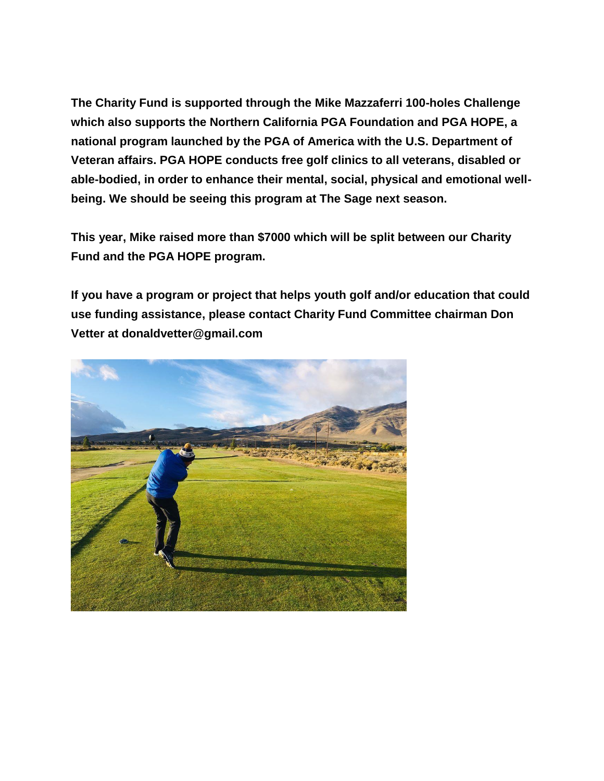**The Charity Fund is supported through the Mike Mazzaferri 100-holes Challenge which also supports the Northern California PGA Foundation and PGA HOPE, a national program launched by the PGA of America with the U.S. Department of Veteran affairs. PGA HOPE conducts free golf clinics to all veterans, disabled or able-bodied, in order to enhance their mental, social, physical and emotional wellbeing. We should be seeing this program at The Sage next season.**

**This year, Mike raised more than \$7000 which will be split between our Charity Fund and the PGA HOPE program.**

**If you have a program or project that helps youth golf and/or education that could use funding assistance, please contact Charity Fund Committee chairman Don Vetter at donaldvetter@gmail.com**